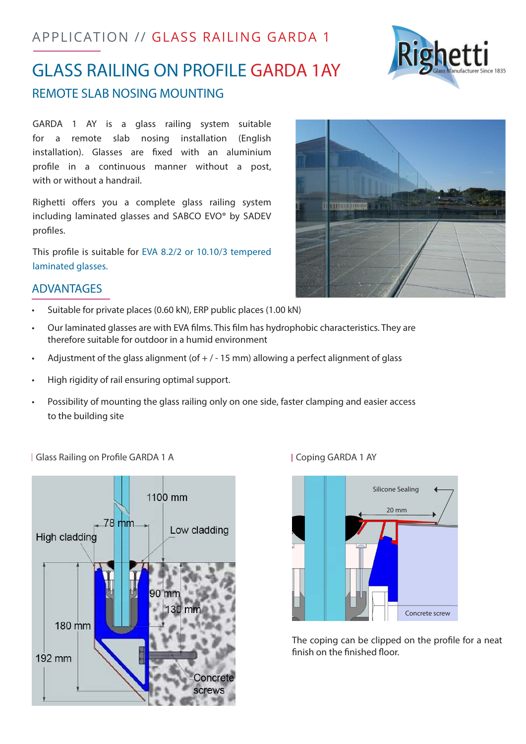## APPLICATION // GLASS RAILING GARDA 1



GARDA 1 AY is a glass railing system suitable for a remote slab nosing installation (English installation). Glasses are fixed with an aluminium profile in a continuous manner without a post, with or without a handrail.

Righetti offers you a complete glass railing system including laminated glasses and SABCO EVO® by SADEV profiles.

This profile is suitable for EVA 8.2/2 or 10.10/3 tempered laminated glasses.

## ADVANTAGES

- Suitable for private places (0.60 kN), ERP public places (1.00 kN)
- Our laminated glasses are with EVA films. This film has hydrophobic characteristics. They are therefore suitable for outdoor in a humid environment
- Adjustment of the glass alignment (of  $+$  / 15 mm) allowing a perfect alignment of glass
- High rigidity of rail ensuring optimal support.
- • Possibility of mounting the glass railing only on one side, faster clamping and easier access to the building site

| Glass Railing on Profile GARDA 1 A | Coping GARDA 1 AY





The coping can be clipped on the profile for a neat finish on the finished floor.